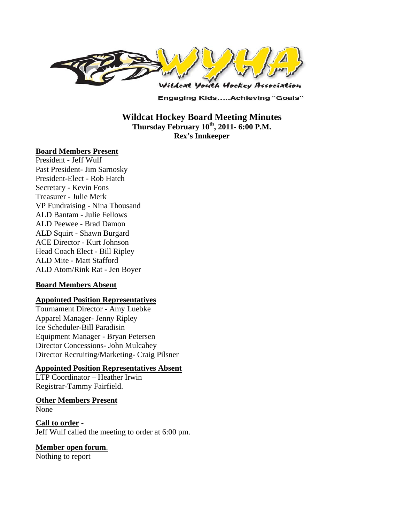

**Engaging Kids.....Achieving "Goals"** 

**Wildcat Hockey Board Meeting Minutes**  Thursday February  $10^{th}$ , 2011- 6:00 P.M. **Rex's Innkeeper** 

#### **Board Members Present**

President - Jeff Wulf Past President- Jim Sarnosky President-Elect - Rob Hatch Secretary - Kevin Fons Treasurer - Julie Merk VP Fundraising - Nina Thousand ALD Bantam - Julie Fellows ALD Peewee - Brad Damon ALD Squirt - Shawn Burgard ACE Director - Kurt Johnson Head Coach Elect - Bill Ripley ALD Mite - Matt Stafford ALD Atom/Rink Rat - Jen Boyer

#### **Board Members Absent**

#### **Appointed Position Representatives**

Tournament Director - Amy Luebke Apparel Manager- Jenny Ripley Ice Scheduler-Bill Paradisin Equipment Manager - Bryan Petersen Director Concessions- John Mulcahey Director Recruiting/Marketing- Craig Pilsner

#### **Appointed Position Representatives Absent**

LTP Coordinator – Heather Irwin Registrar-Tammy Fairfield.

# **Other Members Present**

None

**Call to order** - Jeff Wulf called the meeting to order at 6:00 pm.

### **Member open forum**.

Nothing to report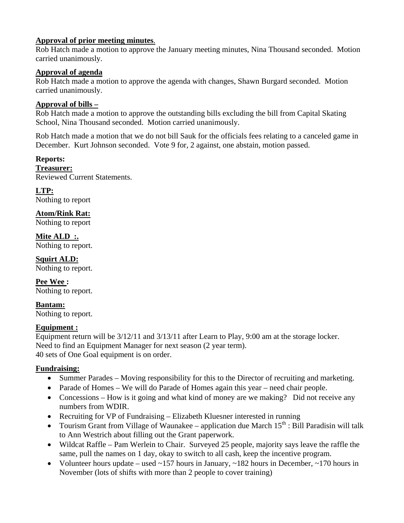### **Approval of prior meeting minutes**.

Rob Hatch made a motion to approve the January meeting minutes, Nina Thousand seconded. Motion carried unanimously.

### **Approval of agenda**

Rob Hatch made a motion to approve the agenda with changes, Shawn Burgard seconded. Motion carried unanimously.

#### **Approval of bills –**

Rob Hatch made a motion to approve the outstanding bills excluding the bill from Capital Skating School, Nina Thousand seconded. Motion carried unanimously.

Rob Hatch made a motion that we do not bill Sauk for the officials fees relating to a canceled game in December. Kurt Johnson seconded. Vote 9 for, 2 against, one abstain, motion passed.

#### **Reports: Treasurer:**

Reviewed Current Statements.

**LTP:**  Nothing to report

**Atom/Rink Rat:**  Nothing to report

**Mite ALD :.**  Nothing to report.

**Squirt ALD:**  Nothing to report.

**Pee Wee :**  Nothing to report.

**Bantam:**  Nothing to report.

### **Equipment :**

Equipment return will be 3/12/11 and 3/13/11 after Learn to Play, 9:00 am at the storage locker. Need to find an Equipment Manager for next season (2 year term). 40 sets of One Goal equipment is on order.

### **Fundraising:**

- Summer Parades Moving responsibility for this to the Director of recruiting and marketing.
- Parade of Homes We will do Parade of Homes again this year need chair people.
- Concessions How is it going and what kind of money are we making? Did not receive any numbers from WDIR.
- Recruiting for VP of Fundraising Elizabeth Kluesner interested in running
- Tourism Grant from Village of Waunakee application due March  $15<sup>th</sup>$ : Bill Paradisin will talk to Ann Westrich about filling out the Grant paperwork.
- Wildcat Raffle Pam Werlein to Chair. Surveyed 25 people, majority says leave the raffle the same, pull the names on 1 day, okay to switch to all cash, keep the incentive program.
- Volunteer hours update used  $\sim$ 157 hours in January,  $\sim$ 182 hours in December,  $\sim$ 170 hours in November (lots of shifts with more than 2 people to cover training)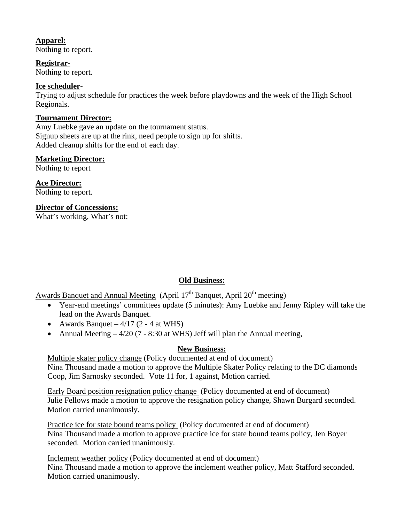### **Apparel:**

Nothing to report.

**Registrar-**

Nothing to report.

#### **Ice scheduler-**

Trying to adjust schedule for practices the week before playdowns and the week of the High School Regionals.

#### **Tournament Director:**

Amy Luebke gave an update on the tournament status. Signup sheets are up at the rink, need people to sign up for shifts. Added cleanup shifts for the end of each day.

#### **Marketing Director:**

Nothing to report

**Ace Director:**  Nothing to report.

**Director of Concessions:** 

What's working, What's not:

### **Old Business:**

Awards Banquet and Annual Meeting (April  $17<sup>th</sup>$  Banquet, April  $20<sup>th</sup>$  meeting)

- Year-end meetings' committees update (5 minutes): Amy Luebke and Jenny Ripley will take the lead on the Awards Banquet.
- Awards Banquet  $4/17$  (2 4 at WHS)
- Annual Meeting  $-4/20$  (7 8:30 at WHS) Jeff will plan the Annual meeting,

### **New Business:**

Multiple skater policy change (Policy documented at end of document) Nina Thousand made a motion to approve the Multiple Skater Policy relating to the DC diamonds Coop, Jim Sarnosky seconded. Vote 11 for, 1 against, Motion carried.

Early Board position resignation policy change (Policy documented at end of document) Julie Fellows made a motion to approve the resignation policy change, Shawn Burgard seconded. Motion carried unanimously.

Practice ice for state bound teams policy (Policy documented at end of document) Nina Thousand made a motion to approve practice ice for state bound teams policy, Jen Boyer seconded. Motion carried unanimously.

Inclement weather policy (Policy documented at end of document) Nina Thousand made a motion to approve the inclement weather policy, Matt Stafford seconded. Motion carried unanimously.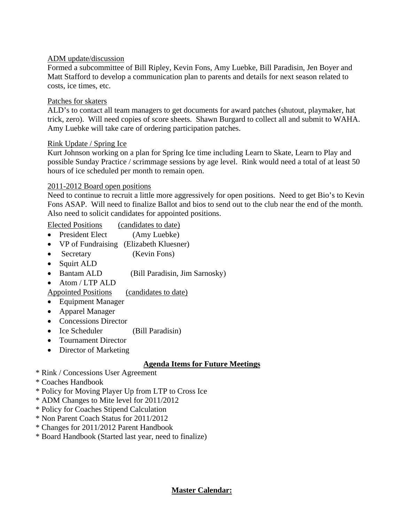#### ADM update/discussion

Formed a subcommittee of Bill Ripley, Kevin Fons, Amy Luebke, Bill Paradisin, Jen Boyer and Matt Stafford to develop a communication plan to parents and details for next season related to costs, ice times, etc.

#### Patches for skaters

ALD's to contact all team managers to get documents for award patches (shutout, playmaker, hat trick, zero). Will need copies of score sheets. Shawn Burgard to collect all and submit to WAHA. Amy Luebke will take care of ordering participation patches.

#### Rink Update / Spring Ice

Kurt Johnson working on a plan for Spring Ice time including Learn to Skate, Learn to Play and possible Sunday Practice / scrimmage sessions by age level. Rink would need a total of at least 50 hours of ice scheduled per month to remain open.

#### 2011-2012 Board open positions

Need to continue to recruit a little more aggressively for open positions. Need to get Bio's to Kevin Fons ASAP. Will need to finalize Ballot and bios to send out to the club near the end of the month. Also need to solicit candidates for appointed positions.

Elected Positions (candidates to date)

- President Elect (Amy Luebke)
- VP of Fundraising (Elizabeth Kluesner)
- Secretary (Kevin Fons)
- Squirt ALD
- Bantam ALD (Bill Paradisin, Jim Sarnosky)
- Atom / LTP ALD

Appointed Positions (candidates to date)

- Equipment Manager
- Apparel Manager
- Concessions Director
- Ice Scheduler (Bill Paradisin)
- Tournament Director
- Director of Marketing

### **Agenda Items for Future Meetings**

- \* Rink / Concessions User Agreement
- \* Coaches Handbook
- \* Policy for Moving Player Up from LTP to Cross Ice
- \* ADM Changes to Mite level for 2011/2012
- \* Policy for Coaches Stipend Calculation
- \* Non Parent Coach Status for 2011/2012
- \* Changes for 2011/2012 Parent Handbook
- \* Board Handbook (Started last year, need to finalize)

**Master Calendar:**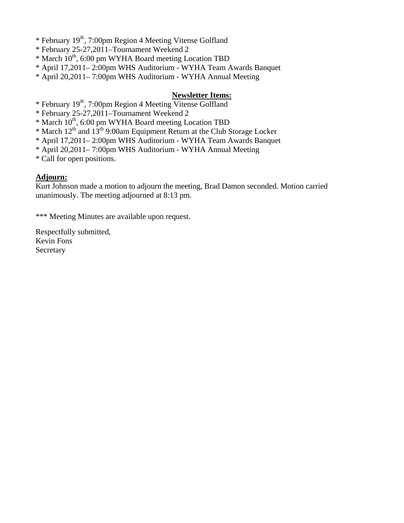\* February 19th, 7:00pm Region 4 Meeting Vitense Golfland

\* February 25-27,2011–Tournament Weekend 2

\* March 10th, 6:00 pm WYHA Board meeting Location TBD

\* April 17,2011– 2:00pm WHS Auditorium - WYHA Team Awards Banquet

\* April 20,2011– 7:00pm WHS Auditorium - WYHA Annual Meeting

#### **Newsletter Items:**

\* February 19th, 7:00pm Region 4 Meeting Vitense Golfland

\* February 25-27,2011–Tournament Weekend 2

\* March 10th, 6:00 pm WYHA Board meeting Location TBD

\* March  $12^{th}$  and  $13^{th}$  9:00am Equipment Return at the Club Storage Locker

- \* April 17,2011– 2:00pm WHS Auditorium WYHA Team Awards Banquet
- \* April 20,2011– 7:00pm WHS Auditorium WYHA Annual Meeting

\* Call for open positions.

#### **Adjourn:**

Kurt Johnson made a motion to adjourn the meeting, Brad Damon seconded. Motion carried unanimously. The meeting adjourned at 8:13 pm.

\*\*\* Meeting Minutes are available upon request.

Respectfully submitted, Kevin Fons Secretary